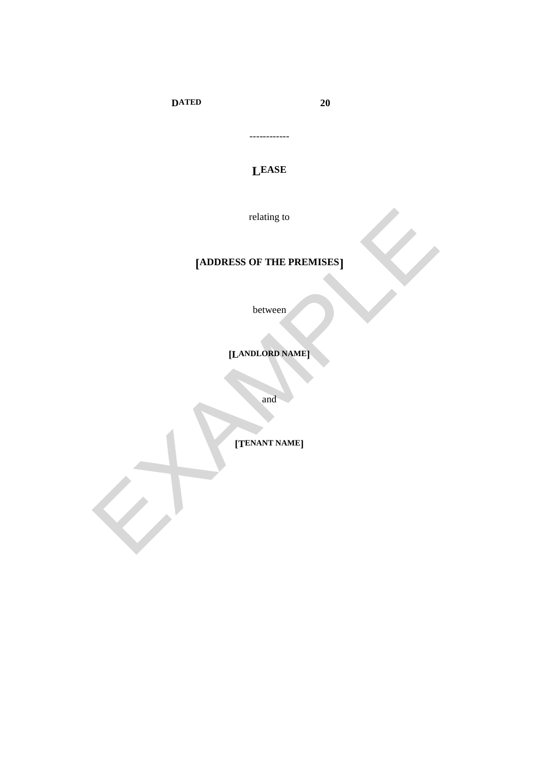**DATED** 

20

**LEASE** 

------------

relating to

# [ADDRESS OF THE PREMISES]

between

[LANDLORD NAME]

and

[TENANT NAME]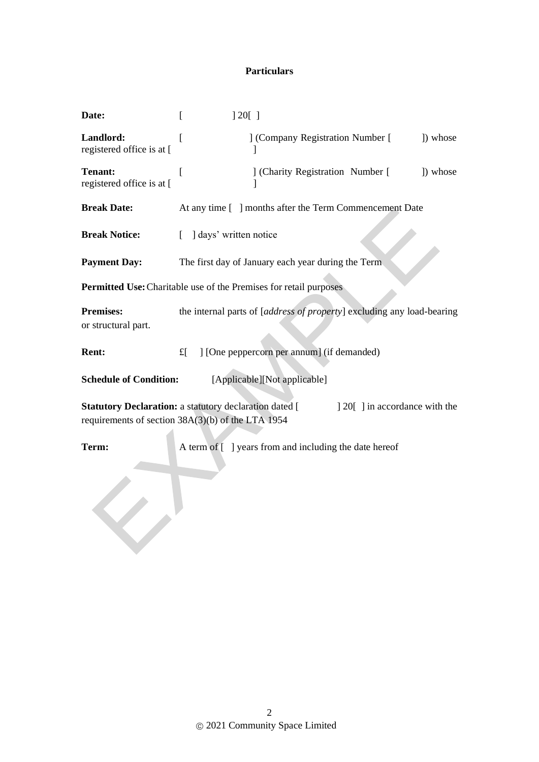## **Particulars**

| Date:                                                                                                                                                   | ] 20[                                                                  |  |  |  |
|---------------------------------------------------------------------------------------------------------------------------------------------------------|------------------------------------------------------------------------|--|--|--|
| Landlord:<br>registered office is at [                                                                                                                  | ] (Company Registration Number [<br>]) whose<br>$\mathsf{l}$           |  |  |  |
| <b>Tenant:</b><br>registered office is at [                                                                                                             | ] (Charity Registration Number [<br>) whose                            |  |  |  |
| <b>Break Date:</b>                                                                                                                                      | At any time [ ] months after the Term Commencement Date                |  |  |  |
| <b>Break Notice:</b>                                                                                                                                    | ] days' written notice<br>$\mathbf{L}$                                 |  |  |  |
| <b>Payment Day:</b>                                                                                                                                     | The first day of January each year during the Term                     |  |  |  |
| Permitted Use: Charitable use of the Premises for retail purposes                                                                                       |                                                                        |  |  |  |
| <b>Premises:</b><br>or structural part.                                                                                                                 | the internal parts of [address of property] excluding any load-bearing |  |  |  |
| <b>Rent:</b>                                                                                                                                            | ] [One peppercorn per annum] (if demanded)<br>$f_{\rm L}$              |  |  |  |
| [Applicable][Not applicable]<br><b>Schedule of Condition:</b>                                                                                           |                                                                        |  |  |  |
| <b>Statutory Declaration: a statutory declaration dated [</b><br>[10] 20[1] in accordance with the<br>requirements of section 38A(3)(b) of the LTA 1954 |                                                                        |  |  |  |
| Term:                                                                                                                                                   | A term of [ ] years from and including the date hereof                 |  |  |  |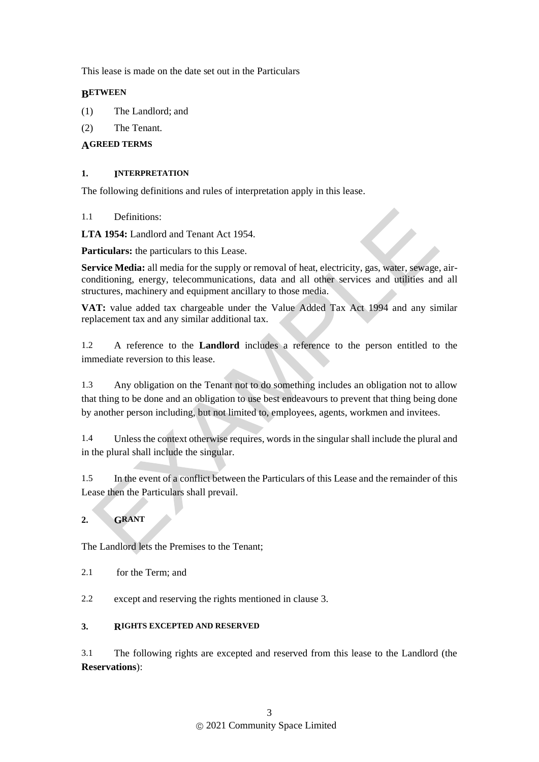This lease is made on the date set out in the Particulars

### **BETWEEN**

- (1) The Landlord; and
- (2) The Tenant.

## **AGREED TERMS**

#### **1. INTERPRETATION**

The following definitions and rules of interpretation apply in this lease.

1.1 Definitions:

**LTA 1954:** Landlord and Tenant Act 1954.

**Particulars:** the particulars to this Lease.

**Service Media:** all media for the supply or removal of heat, electricity, gas, water, sewage, airconditioning, energy, telecommunications, data and all other services and utilities and all structures, machinery and equipment ancillary to those media.

**VAT:** value added tax chargeable under the Value Added Tax Act 1994 and any similar replacement tax and any similar additional tax.

1.2 A reference to the **Landlord** includes a reference to the person entitled to the immediate reversion to this lease.

1.3 Any obligation on the Tenant not to do something includes an obligation not to allow that thing to be done and an obligation to use best endeavours to prevent that thing being done by another person including, but not limited to, employees, agents, workmen and invitees.

1.4 Unless the context otherwise requires, words in the singular shall include the plural and in the plural shall include the singular.

1.5 In the event of a conflict between the Particulars of this Lease and the remainder of this Lease then the Particulars shall prevail.

# **2. GRANT**

The Landlord lets the Premises to the Tenant;

- 2.1 for the Term; and
- 2.2 except and reserving the rights mentioned in clause 3.

### **3. RIGHTS EXCEPTED AND RESERVED**

3.1 The following rights are excepted and reserved from this lease to the Landlord (the **Reservations**):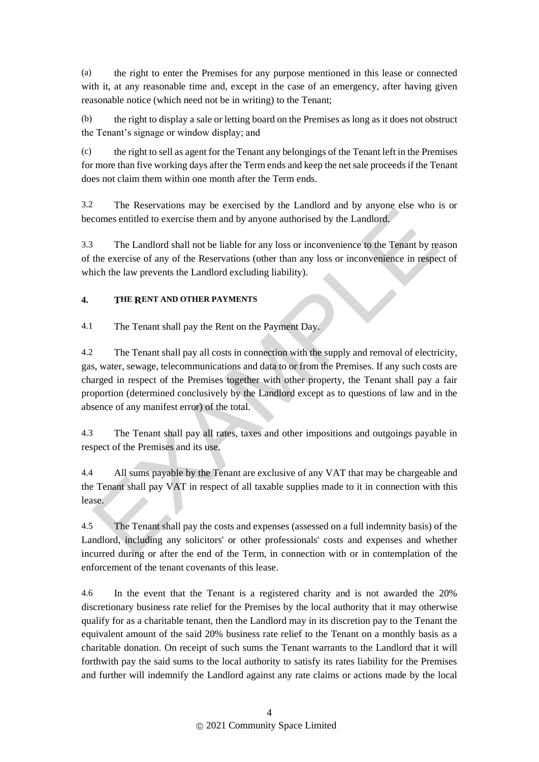(a) the right to enter the Premises for any purpose mentioned in this lease or connected with it, at any reasonable time and, except in the case of an emergency, after having given reasonable notice (which need not be in writing) to the Tenant;

(b) the right to display a sale or letting board on the Premises as long as it does not obstruct the Tenant's signage or window display; and

(c) the right to sell as agent for the Tenant any belongings of the Tenant left in the Premises for more than five working days after the Term ends and keep the net sale proceeds if the Tenant does not claim them within one month after the Term ends.

3.2 The Reservations may be exercised by the Landlord and by anyone else who is or becomes entitled to exercise them and by anyone authorised by the Landlord.

3.3 The Landlord shall not be liable for any loss or inconvenience to the Tenant by reason of the exercise of any of the Reservations (other than any loss or inconvenience in respect of which the law prevents the Landlord excluding liability).

## **4. THE RENT AND OTHER PAYMENTS**

4.1 The Tenant shall pay the Rent on the Payment Day.

4.2 The Tenant shall pay all costs in connection with the supply and removal of electricity, gas, water, sewage, telecommunications and data to or from the Premises. If any such costs are charged in respect of the Premises together with other property, the Tenant shall pay a fair proportion (determined conclusively by the Landlord except as to questions of law and in the absence of any manifest error) of the total.

4.3 The Tenant shall pay all rates, taxes and other impositions and outgoings payable in respect of the Premises and its use.

4.4 All sums payable by the Tenant are exclusive of any VAT that may be chargeable and the Tenant shall pay VAT in respect of all taxable supplies made to it in connection with this lease.

4.5 The Tenant shall pay the costs and expenses (assessed on a full indemnity basis) of the Landlord, including any solicitors' or other professionals' costs and expenses and whether incurred during or after the end of the Term, in connection with or in contemplation of the enforcement of the tenant covenants of this lease.

4.6 In the event that the Tenant is a registered charity and is not awarded the 20% discretionary business rate relief for the Premises by the local authority that it may otherwise qualify for as a charitable tenant, then the Landlord may in its discretion pay to the Tenant the equivalent amount of the said 20% business rate relief to the Tenant on a monthly basis as a charitable donation. On receipt of such sums the Tenant warrants to the Landlord that it will forthwith pay the said sums to the local authority to satisfy its rates liability for the Premises and further will indemnify the Landlord against any rate claims or actions made by the local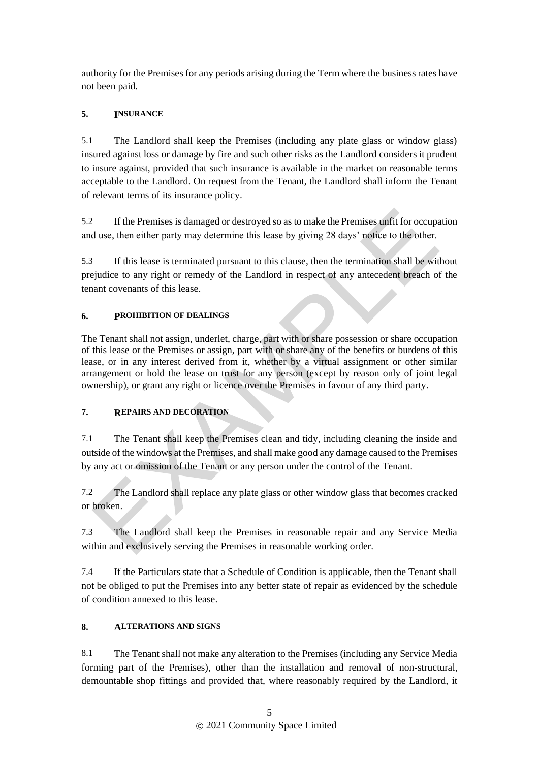authority for the Premises for any periods arising during the Term where the business rates have not been paid.

## **5. INSURANCE**

5.1 The Landlord shall keep the Premises (including any plate glass or window glass) insured against loss or damage by fire and such other risks as the Landlord considers it prudent to insure against, provided that such insurance is available in the market on reasonable terms acceptable to the Landlord. On request from the Tenant, the Landlord shall inform the Tenant of relevant terms of its insurance policy.

5.2 If the Premises is damaged or destroyed so as to make the Premises unfit for occupation and use, then either party may determine this lease by giving 28 days' notice to the other.

5.3 If this lease is terminated pursuant to this clause, then the termination shall be without prejudice to any right or remedy of the Landlord in respect of any antecedent breach of the tenant covenants of this lease.

## **6. PROHIBITION OF DEALINGS**

The Tenant shall not assign, underlet, charge, part with or share possession or share occupation of this lease or the Premises or assign, part with or share any of the benefits or burdens of this lease, or in any interest derived from it, whether by a virtual assignment or other similar arrangement or hold the lease on trust for any person (except by reason only of joint legal ownership), or grant any right or licence over the Premises in favour of any third party.

# **7. REPAIRS AND DECORATION**

7.1 The Tenant shall keep the Premises clean and tidy, including cleaning the inside and outside of the windows at the Premises, and shall make good any damage caused to the Premises by any act or omission of the Tenant or any person under the control of the Tenant.

7.2 The Landlord shall replace any plate glass or other window glass that becomes cracked or broken.

7.3 The Landlord shall keep the Premises in reasonable repair and any Service Media within and exclusively serving the Premises in reasonable working order.

7.4 If the Particulars state that a Schedule of Condition is applicable, then the Tenant shall not be obliged to put the Premises into any better state of repair as evidenced by the schedule of condition annexed to this lease.

### **8. ALTERATIONS AND SIGNS**

8.1 The Tenant shall not make any alteration to the Premises (including any Service Media forming part of the Premises), other than the installation and removal of non-structural, demountable shop fittings and provided that, where reasonably required by the Landlord, it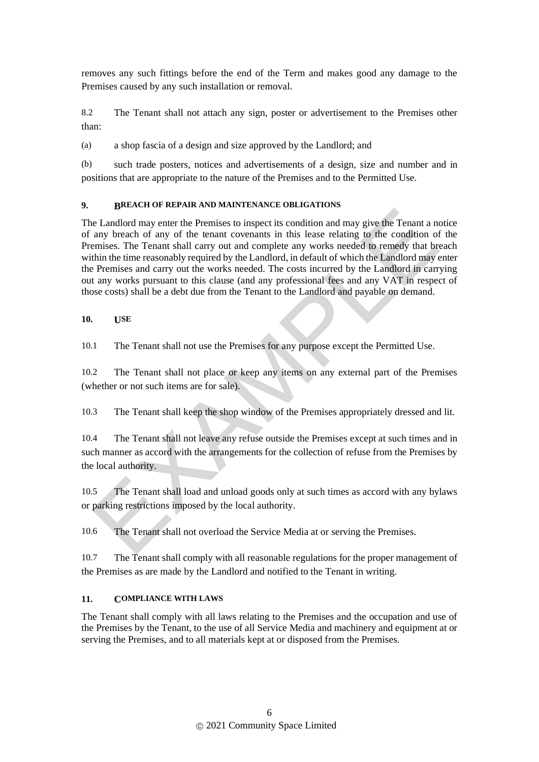removes any such fittings before the end of the Term and makes good any damage to the Premises caused by any such installation or removal.

8.2 The Tenant shall not attach any sign, poster or advertisement to the Premises other than:

(a) a shop fascia of a design and size approved by the Landlord; and

(b) such trade posters, notices and advertisements of a design, size and number and in positions that are appropriate to the nature of the Premises and to the Permitted Use.

### **9. BREACH OF REPAIR AND MAINTENANCE OBLIGATIONS**

The Landlord may enter the Premises to inspect its condition and may give the Tenant a notice of any breach of any of the tenant covenants in this lease relating to the condition of the Premises. The Tenant shall carry out and complete any works needed to remedy that breach within the time reasonably required by the Landlord, in default of which the Landlord may enter the Premises and carry out the works needed. The costs incurred by the Landlord in carrying out any works pursuant to this clause (and any professional fees and any VAT in respect of those costs) shall be a debt due from the Tenant to the Landlord and payable on demand.

**10. USE**

10.1 The Tenant shall not use the Premises for any purpose except the Permitted Use.

10.2 The Tenant shall not place or keep any items on any external part of the Premises (whether or not such items are for sale).

10.3 The Tenant shall keep the shop window of the Premises appropriately dressed and lit.

10.4 The Tenant shall not leave any refuse outside the Premises except at such times and in such manner as accord with the arrangements for the collection of refuse from the Premises by the local authority.

10.5 The Tenant shall load and unload goods only at such times as accord with any bylaws or parking restrictions imposed by the local authority.

10.6 The Tenant shall not overload the Service Media at or serving the Premises.

10.7 The Tenant shall comply with all reasonable regulations for the proper management of the Premises as are made by the Landlord and notified to the Tenant in writing.

### **11. COMPLIANCE WITH LAWS**

The Tenant shall comply with all laws relating to the Premises and the occupation and use of the Premises by the Tenant, to the use of all Service Media and machinery and equipment at or serving the Premises, and to all materials kept at or disposed from the Premises.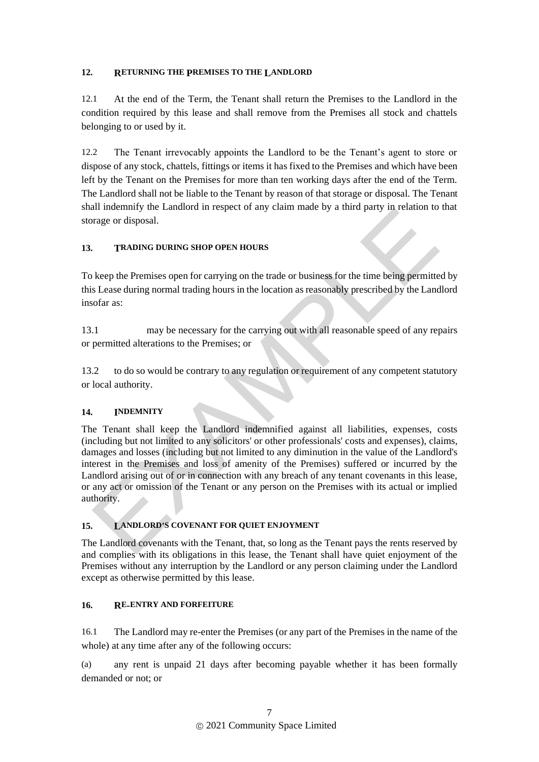#### **12. RETURNING THE PREMISES TO THE LANDLORD**

12.1 At the end of the Term, the Tenant shall return the Premises to the Landlord in the condition required by this lease and shall remove from the Premises all stock and chattels belonging to or used by it.

12.2 The Tenant irrevocably appoints the Landlord to be the Tenant's agent to store or dispose of any stock, chattels, fittings or items it has fixed to the Premises and which have been left by the Tenant on the Premises for more than ten working days after the end of the Term. The Landlord shall not be liable to the Tenant by reason of that storage or disposal. The Tenant shall indemnify the Landlord in respect of any claim made by a third party in relation to that storage or disposal.

#### **13. TRADING DURING SHOP OPEN HOURS**

To keep the Premises open for carrying on the trade or business for the time being permitted by this Lease during normal trading hours in the location as reasonably prescribed by the Landlord insofar as:

13.1 may be necessary for the carrying out with all reasonable speed of any repairs or permitted alterations to the Premises; or

13.2 to do so would be contrary to any regulation or requirement of any competent statutory or local authority.

#### **14. INDEMNITY**

The Tenant shall keep the Landlord indemnified against all liabilities, expenses, costs (including but not limited to any solicitors' or other professionals' costs and expenses), claims, damages and losses (including but not limited to any diminution in the value of the Landlord's interest in the Premises and loss of amenity of the Premises) suffered or incurred by the Landlord arising out of or in connection with any breach of any tenant covenants in this lease, or any act or omission of the Tenant or any person on the Premises with its actual or implied authority.

### **15. LANDLORD'S COVENANT FOR QUIET ENJOYMENT**

The Landlord covenants with the Tenant, that, so long as the Tenant pays the rents reserved by and complies with its obligations in this lease, the Tenant shall have quiet enjoyment of the Premises without any interruption by the Landlord or any person claiming under the Landlord except as otherwise permitted by this lease.

#### **16. RE-ENTRY AND FORFEITURE**

16.1 The Landlord may re-enter the Premises (or any part of the Premises in the name of the whole) at any time after any of the following occurs:

(a) any rent is unpaid 21 days after becoming payable whether it has been formally demanded or not; or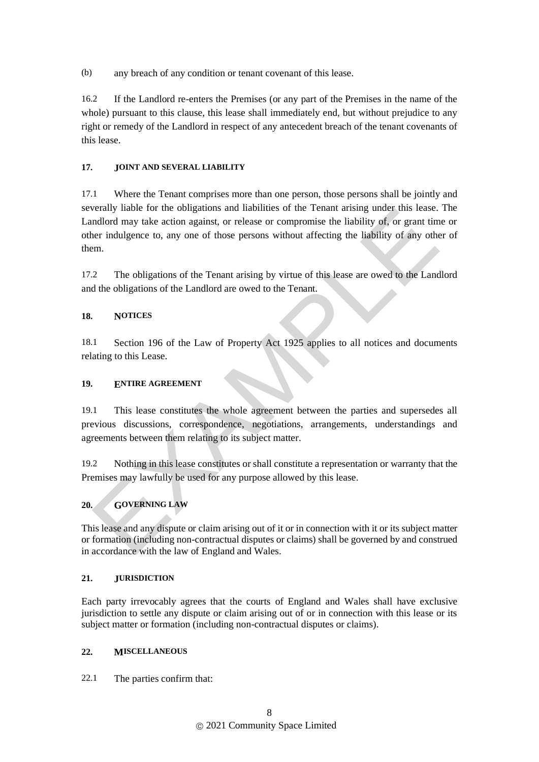(b) any breach of any condition or tenant covenant of this lease.

16.2 If the Landlord re-enters the Premises (or any part of the Premises in the name of the whole) pursuant to this clause, this lease shall immediately end, but without prejudice to any right or remedy of the Landlord in respect of any antecedent breach of the tenant covenants of this lease.

### **17. JOINT AND SEVERAL LIABILITY**

17.1 Where the Tenant comprises more than one person, those persons shall be jointly and severally liable for the obligations and liabilities of the Tenant arising under this lease. The Landlord may take action against, or release or compromise the liability of, or grant time or other indulgence to, any one of those persons without affecting the liability of any other of them.

17.2 The obligations of the Tenant arising by virtue of this lease are owed to the Landlord and the obligations of the Landlord are owed to the Tenant.

## **18. NOTICES**

18.1 Section 196 of the Law of Property Act 1925 applies to all notices and documents relating to this Lease.

## **19. ENTIRE AGREEMENT**

19.1 This lease constitutes the whole agreement between the parties and supersedes all previous discussions, correspondence, negotiations, arrangements, understandings and agreements between them relating to its subject matter.

19.2 Nothing in this lease constitutes or shall constitute a representation or warranty that the Premises may lawfully be used for any purpose allowed by this lease.

# **20. GOVERNING LAW**

This lease and any dispute or claim arising out of it or in connection with it or its subject matter or formation (including non-contractual disputes or claims) shall be governed by and construed in accordance with the law of England and Wales.

### **21. JURISDICTION**

Each party irrevocably agrees that the courts of England and Wales shall have exclusive jurisdiction to settle any dispute or claim arising out of or in connection with this lease or its subject matter or formation (including non-contractual disputes or claims).

### **22. MISCELLANEOUS**

22.1 The parties confirm that: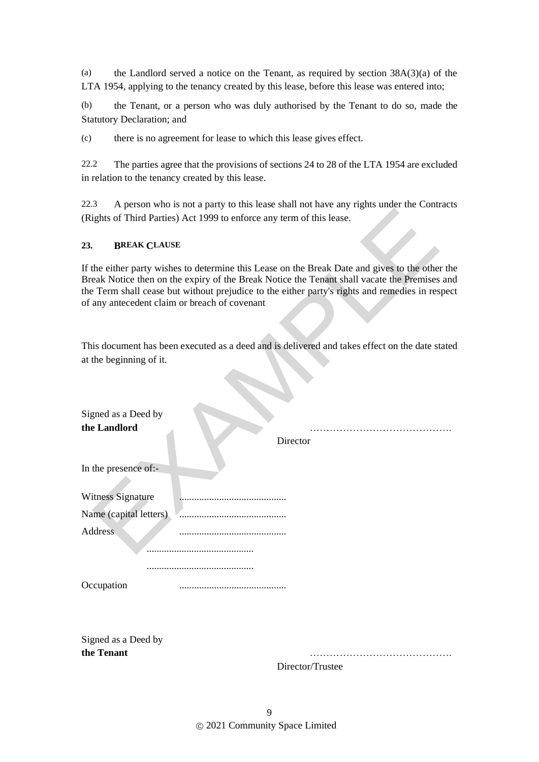(a) the Landlord served a notice on the Tenant, as required by section 38A(3)(a) of the LTA 1954, applying to the tenancy created by this lease, before this lease was entered into;

(b) the Tenant, or a person who was duly authorised by the Tenant to do so, made the Statutory Declaration; and

(c) there is no agreement for lease to which this lease gives effect.

22.2 The parties agree that the provisions of sections 24 to 28 of the LTA 1954 are excluded in relation to the tenancy created by this lease.

22.3 A person who is not a party to this lease shall not have any rights under the Contracts (Rights of Third Parties) Act 1999 to enforce any term of this lease.

#### **23. BREAK CLAUSE**

If the either party wishes to determine this Lease on the Break Date and gives to the other the Break Notice then on the expiry of the Break Notice the Tenant shall vacate the Premises and the Term shall cease but without prejudice to the either party's rights and remedies in respect of any antecedent claim or breach of covenant

This document has been executed as a deed and is delivered and takes effect on the date stated at the beginning of it.

| Signed as a Deed by    |                  |
|------------------------|------------------|
| the Landlord           |                  |
|                        | Director         |
| In the presence of:-   |                  |
| Witness Signature      |                  |
| Name (capital letters) |                  |
| Address                |                  |
|                        |                  |
|                        |                  |
| Occupation             |                  |
|                        |                  |
| Signed as a Deed by    |                  |
| the Tenant             |                  |
|                        | Director/Trustee |